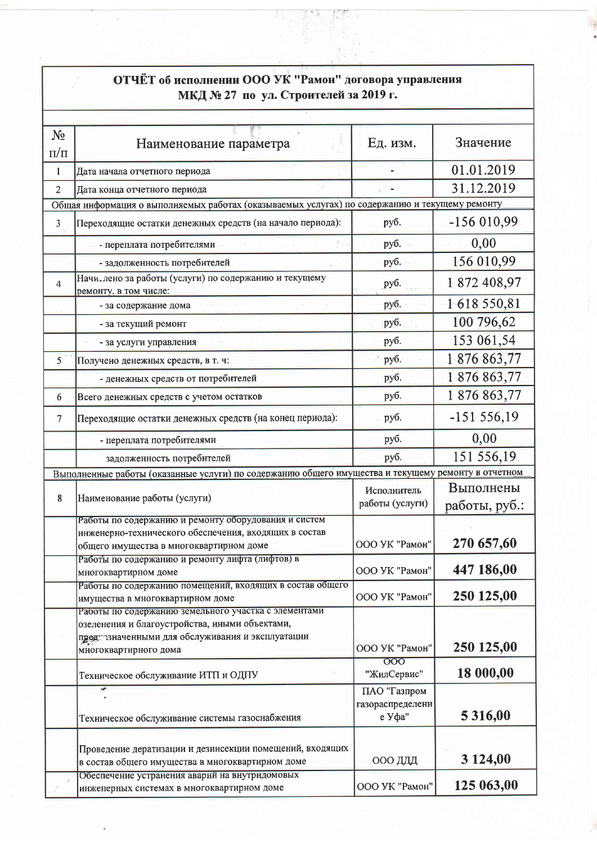| ОТЧЁТ об исполнении ООО УК "Рамон" договора управления<br>МКД № 27 по ул. Строителей за 2019 г. |                                                                                                    |                                  |               |  |  |
|-------------------------------------------------------------------------------------------------|----------------------------------------------------------------------------------------------------|----------------------------------|---------------|--|--|
|                                                                                                 |                                                                                                    |                                  |               |  |  |
| $N_2$                                                                                           |                                                                                                    |                                  |               |  |  |
| $\Pi/\Pi$                                                                                       | Наименование параметра                                                                             | Ед. изм.                         | Значение      |  |  |
| $\mathbf{1}$                                                                                    | Дата начала отчетного периода                                                                      |                                  | 01.01.2019    |  |  |
| $\overline{c}$                                                                                  | Дата конца отчетного периода                                                                       |                                  | 31.12.2019    |  |  |
| Общая информация о выполняемых работах (оказываемых услугах) по содержанию и текущему ремонту   |                                                                                                    |                                  |               |  |  |
| $\overline{3}$                                                                                  | Переходящие остатки денежных средств (на начало периода):                                          | руб.                             | $-156010,99$  |  |  |
|                                                                                                 | - переплата потребителями                                                                          | руб.                             | 0,00          |  |  |
|                                                                                                 | - задолженность потребителей                                                                       | руб.                             | 156 010,99    |  |  |
| 4                                                                                               | Начи. лено за работы (услуги) по содержанию и текущему<br>ремонту, в том числе:                    | руб.                             | 1872 408,97   |  |  |
|                                                                                                 | - за содержание дома                                                                               | руб.                             | 1618550,81    |  |  |
|                                                                                                 | - за текущий ремонт                                                                                | руб.                             | 100 796,62    |  |  |
|                                                                                                 | - за услуги управления                                                                             | руб.                             | 153 061,54    |  |  |
| 5                                                                                               | Получено денежных средств, в т. ч.                                                                 | руб.                             | 1876863,77    |  |  |
|                                                                                                 | - денежных средств от потребителей                                                                 | руб.                             | 1876863,77    |  |  |
| 6                                                                                               | Всего денежных средств с учетом остатков                                                           | руб.                             | 1876863,77    |  |  |
| 7                                                                                               | Переходящие остатки денежных средств (на конец периода):                                           | руб.                             | $-151.556,19$ |  |  |
|                                                                                                 | - переплата потребителями                                                                          | руб.                             | 0,00          |  |  |
|                                                                                                 | задолженность потребителей                                                                         | руб.                             | 151 556,19    |  |  |
|                                                                                                 | Выполненные работы (оказанные услуги) по содержанию общего имущества и текущему ремонту в отчетном |                                  |               |  |  |
|                                                                                                 |                                                                                                    | Исполнитель                      | Выполнены     |  |  |
| 8                                                                                               | Наименование работы (услуги)                                                                       | работы (услуги)                  | работы, руб.: |  |  |
|                                                                                                 | Работы по содержанию и ремонту оборудования и систем                                               |                                  |               |  |  |
|                                                                                                 | инженерно-технического обеспечения, входящих в состав                                              |                                  |               |  |  |
|                                                                                                 | общего имущества в многоквартирном доме                                                            | ООО УК "Рамон"                   | 270 657,60    |  |  |
|                                                                                                 | Работы по содержанию и ремонту лифта (лифтов) в<br>многоквартирном доме                            | ООО УК "Рамон"                   | 447 186,00    |  |  |
|                                                                                                 | Работы по содержанию помещений, входящих в состав общего                                           |                                  | 250 125,00    |  |  |
|                                                                                                 | имущества в многоквартирном доме<br>Работы по содержанию земельного участка с элементами           | ООО УК "Рамон"                   |               |  |  |
|                                                                                                 | озеленения и благоустройства, иными объектами,                                                     |                                  |               |  |  |
|                                                                                                 | предитзначенными для обслуживания и эксплуатации                                                   |                                  |               |  |  |
|                                                                                                 | многоквартирного дома                                                                              | ООО УК "Рамон"                   | 250 125,00    |  |  |
|                                                                                                 |                                                                                                    | 000                              | 18 000,00     |  |  |
|                                                                                                 | Техническое обслуживание ИТП и ОДПУ                                                                | "ЖилСервис"                      |               |  |  |
|                                                                                                 |                                                                                                    | ПАО "Газпром<br>газораспределени |               |  |  |
|                                                                                                 | Техническое обслуживание системы газоснабжения                                                     | е Уфа"                           | 5 3 1 6,00    |  |  |
|                                                                                                 |                                                                                                    |                                  |               |  |  |
|                                                                                                 | Проведение дератизации и дезинсекции помещений, входящих                                           |                                  |               |  |  |
|                                                                                                 | в состав общего имущества в многоквартирном доме                                                   | ООО ДДД                          | 3 124,00      |  |  |
|                                                                                                 | Обеспечение устранения аварий на внутридомовых<br>инженерных системах в многоквартирном доме       | ООО УК "Рамон"                   | 125 063,00    |  |  |

Ř.

 $\bar{\phantom{a}}$